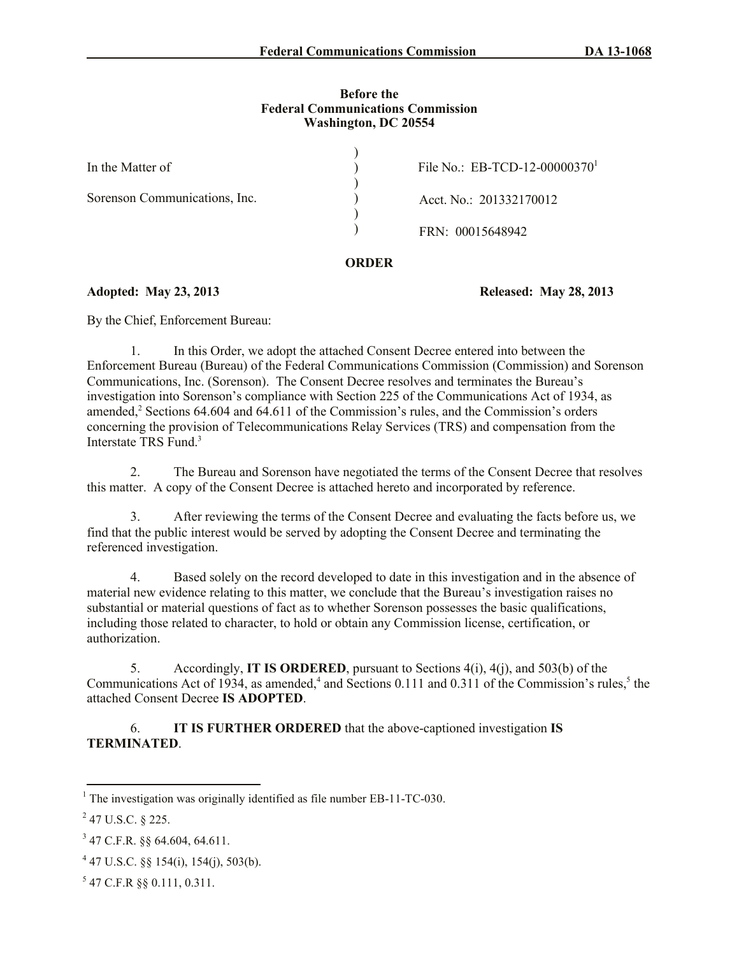### **Before the Federal Communications Commission Washington, DC 20554**

| In the Matter of              | File No.: EB-TCD-12-00000370 <sup>1</sup> |
|-------------------------------|-------------------------------------------|
|                               |                                           |
| Sorenson Communications, Inc. | Acct. No.: 201332170012                   |
|                               |                                           |
|                               | FRN: 00015648942                          |
|                               |                                           |

## **ORDER**

## **Adopted: May 23, 2013 Released: May 28, 2013**

By the Chief, Enforcement Bureau:

1. In this Order, we adopt the attached Consent Decree entered into between the Enforcement Bureau (Bureau) of the Federal Communications Commission (Commission) and Sorenson Communications, Inc. (Sorenson). The Consent Decree resolves and terminates the Bureau's investigation into Sorenson's compliance with Section 225 of the Communications Act of 1934, as amended,<sup>2</sup> Sections 64.604 and 64.611 of the Commission's rules, and the Commission's orders concerning the provision of Telecommunications Relay Services (TRS) and compensation from the Interstate TRS Fund.<sup>3</sup>

2. The Bureau and Sorenson have negotiated the terms of the Consent Decree that resolves this matter. A copy of the Consent Decree is attached hereto and incorporated by reference.

3. After reviewing the terms of the Consent Decree and evaluating the facts before us, we find that the public interest would be served by adopting the Consent Decree and terminating the referenced investigation.

4. Based solely on the record developed to date in this investigation and in the absence of material new evidence relating to this matter, we conclude that the Bureau's investigation raises no substantial or material questions of fact as to whether Sorenson possesses the basic qualifications, including those related to character, to hold or obtain any Commission license, certification, or authorization.

5. Accordingly, **IT IS ORDERED**, pursuant to Sections 4(i), 4(j), and 503(b) of the Communications Act of 1934, as amended,<sup>4</sup> and Sections 0.111 and 0.311 of the Commission's rules,<sup>5</sup> the attached Consent Decree **IS ADOPTED**.

6. **IT IS FURTHER ORDERED** that the above-captioned investigation **IS TERMINATED**.

 $\overline{a}$  $1$ <sup>1</sup> The investigation was originally identified as file number EB-11-TC-030.

 $^{2}$  47 U.S.C. § 225.

<sup>3</sup> 47 C.F.R. §§ 64.604, 64.611.

 $447$  U.S.C. §§ 154(i), 154(j), 503(b).

 $5$  47 C.F.R §§ 0.111, 0.311.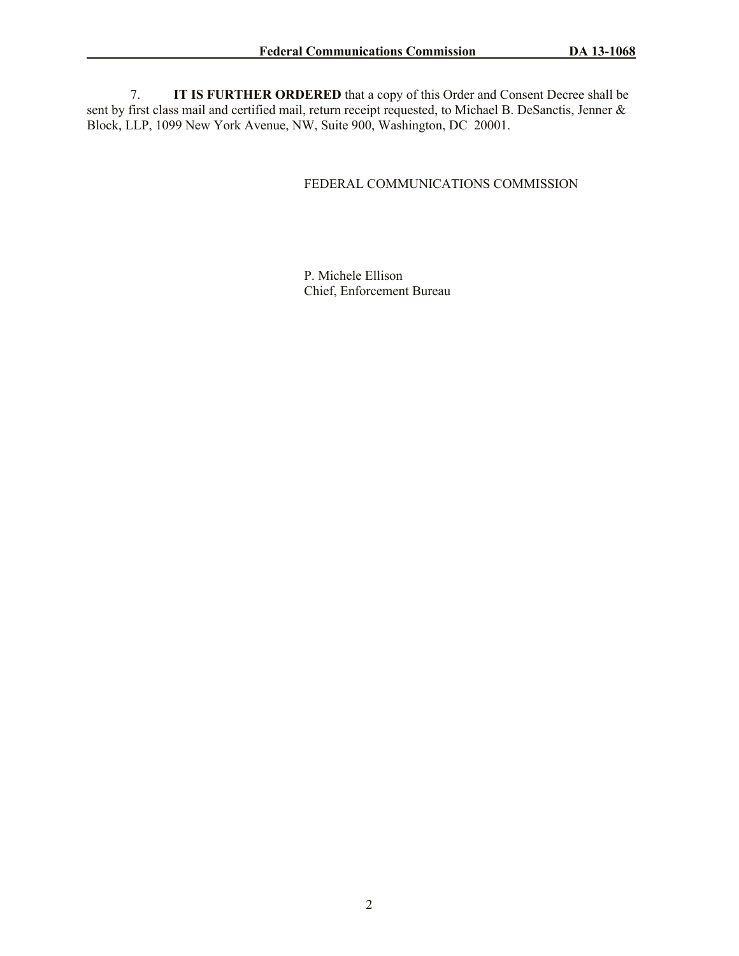7. **IT IS FURTHER ORDERED** that a copy of this Order and Consent Decree shall be sent by first class mail and certified mail, return receipt requested, to Michael B. DeSanctis, Jenner & Block, LLP, 1099 New York Avenue, NW, Suite 900, Washington, DC 20001.

## FEDERAL COMMUNICATIONS COMMISSION

P. Michele Ellison Chief, Enforcement Bureau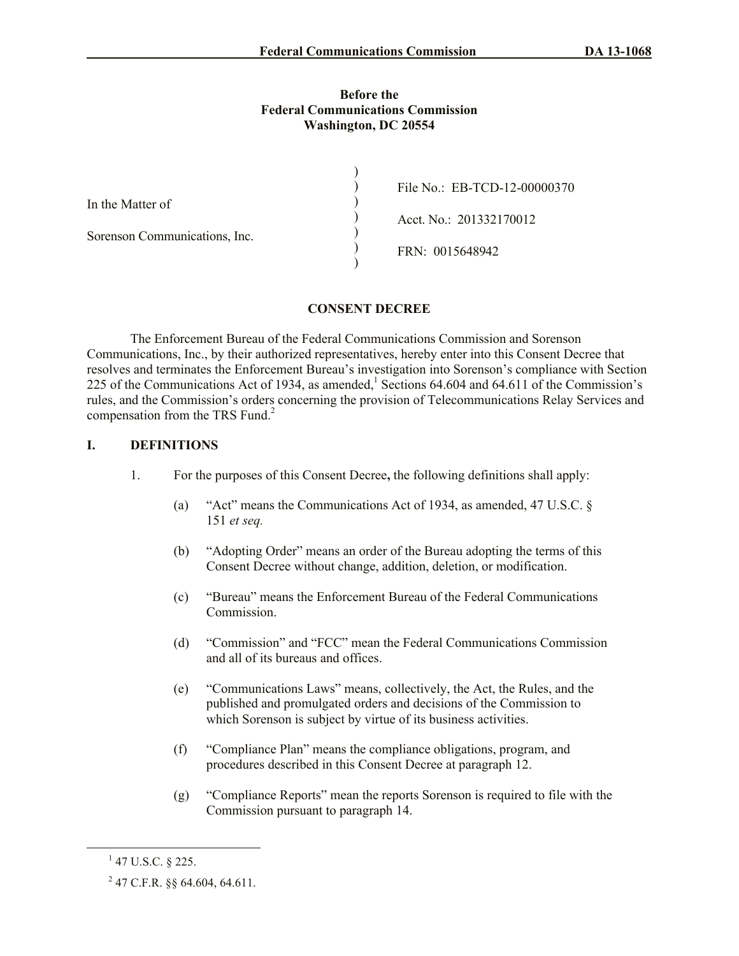#### **Before the Federal Communications Commission Washington, DC 20554**

|                               | File No.: EB-TCD-12-00000370 |
|-------------------------------|------------------------------|
| In the Matter of              | Acct. No.: 201332170012      |
| Sorenson Communications, Inc. |                              |
|                               | FRN: 0015648942              |

### **CONSENT DECREE**

The Enforcement Bureau of the Federal Communications Commission and Sorenson Communications, Inc., by their authorized representatives, hereby enter into this Consent Decree that resolves and terminates the Enforcement Bureau's investigation into Sorenson's compliance with Section 225 of the Communications Act of 1934, as amended, Sections 64.604 and 64.611 of the Commission's rules, and the Commission's orders concerning the provision of Telecommunications Relay Services and compensation from the TRS Fund. 2

### **I. DEFINITIONS**

- 1. For the purposes of this Consent Decree**,** the following definitions shall apply:
	- (a) "Act" means the Communications Act of 1934, as amended, 47 U.S.C. § 151 *et seq.*
	- (b) "Adopting Order" means an order of the Bureau adopting the terms of this Consent Decree without change, addition, deletion, or modification.
	- (c) "Bureau" means the Enforcement Bureau of the Federal Communications Commission.
	- (d) "Commission" and "FCC" mean the Federal Communications Commission and all of its bureaus and offices.
	- (e) "Communications Laws" means, collectively, the Act, the Rules, and the published and promulgated orders and decisions of the Commission to which Sorenson is subject by virtue of its business activities.
	- (f) "Compliance Plan" means the compliance obligations, program, and procedures described in this Consent Decree at paragraph 12.
	- (g) "Compliance Reports" mean the reports Sorenson is required to file with the Commission pursuant to paragraph 14.

 $1$  47 U.S.C. § 225.

 $^{2}$  47 C.F.R. §§ 64.604, 64.611.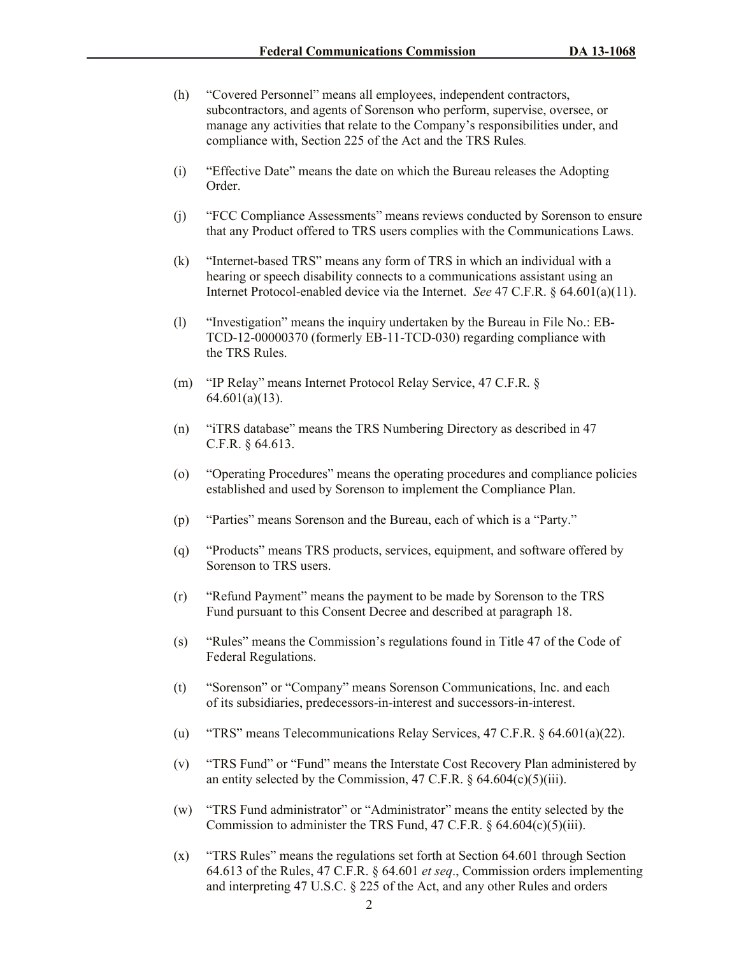- (h) "Covered Personnel" means all employees, independent contractors, subcontractors, and agents of Sorenson who perform, supervise, oversee, or manage any activities that relate to the Company's responsibilities under, and compliance with, Section 225 of the Act and the TRS Rules.
- (i) "Effective Date" means the date on which the Bureau releases the Adopting Order.
- (j) "FCC Compliance Assessments" means reviews conducted by Sorenson to ensure that any Product offered to TRS users complies with the Communications Laws.
- (k) "Internet-based TRS" means any form of TRS in which an individual with a hearing or speech disability connects to a communications assistant using an Internet Protocol-enabled device via the Internet. *See* 47 C.F.R. § 64.601(a)(11).
- (l) "Investigation" means the inquiry undertaken by the Bureau in File No.: EB-TCD-12-00000370 (formerly EB-11-TCD-030) regarding compliance with the TRS Rules.
- (m) "IP Relay" means Internet Protocol Relay Service, 47 C.F.R. § 64.601(a)(13).
- (n) "iTRS database" means the TRS Numbering Directory as described in 47 C.F.R. § 64.613.
- (o) "Operating Procedures" means the operating procedures and compliance policies established and used by Sorenson to implement the Compliance Plan.
- (p) "Parties" means Sorenson and the Bureau, each of which is a "Party."
- (q) "Products" means TRS products, services, equipment, and software offered by Sorenson to TRS users.
- (r) "Refund Payment" means the payment to be made by Sorenson to the TRS Fund pursuant to this Consent Decree and described at paragraph 18.
- (s) "Rules" means the Commission's regulations found in Title 47 of the Code of Federal Regulations.
- (t) "Sorenson" or "Company" means Sorenson Communications, Inc. and each of its subsidiaries, predecessors-in-interest and successors-in-interest.
- (u) "TRS" means Telecommunications Relay Services, 47 C.F.R. § 64.601(a)(22).
- (v) "TRS Fund" or "Fund" means the Interstate Cost Recovery Plan administered by an entity selected by the Commission, 47 C.F.R.  $\S$  64.604(c)(5)(iii).
- (w) "TRS Fund administrator" or "Administrator" means the entity selected by the Commission to administer the TRS Fund, 47 C.F.R. § 64.604(c)(5)(iii).
- (x) "TRS Rules" means the regulations set forth at Section 64.601 through Section 64.613 of the Rules, 47 C.F.R. § 64.601 *et seq*., Commission orders implementing and interpreting 47 U.S.C. § 225 of the Act, and any other Rules and orders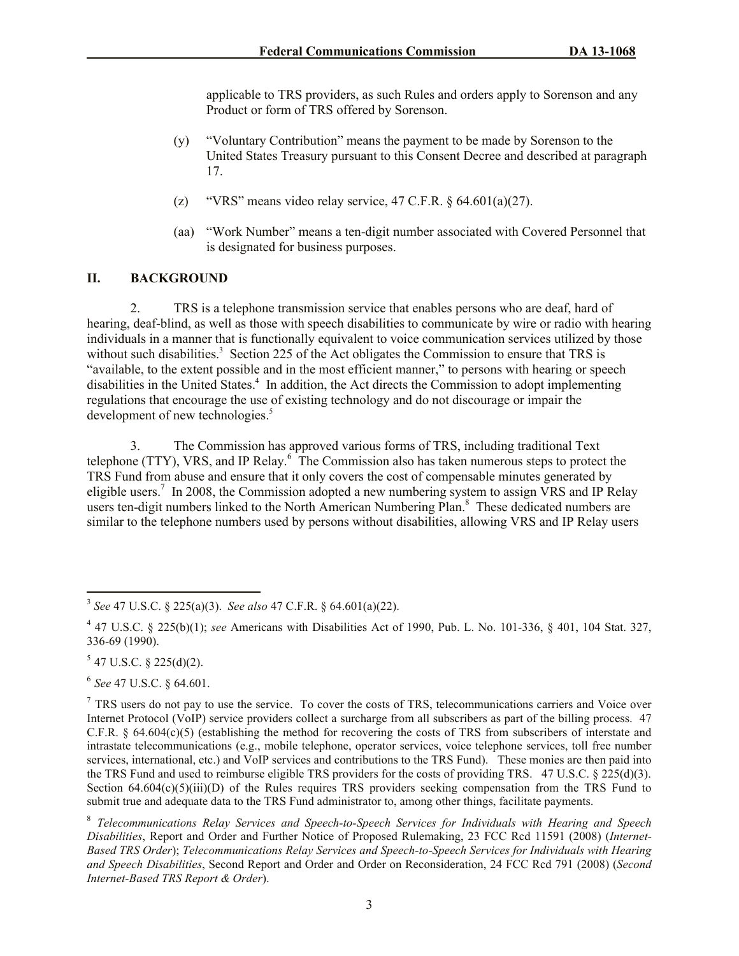applicable to TRS providers, as such Rules and orders apply to Sorenson and any Product or form of TRS offered by Sorenson.

- (y) "Voluntary Contribution" means the payment to be made by Sorenson to the United States Treasury pursuant to this Consent Decree and described at paragraph 17.
- (z) "VRS" means video relay service, 47 C.F.R.  $\& 64.601(a)(27)$ .
- (aa) "Work Number" means a ten-digit number associated with Covered Personnel that is designated for business purposes.

### **II. BACKGROUND**

2. TRS is a telephone transmission service that enables persons who are deaf, hard of hearing, deaf-blind, as well as those with speech disabilities to communicate by wire or radio with hearing individuals in a manner that is functionally equivalent to voice communication services utilized by those without such disabilities.<sup>3</sup> Section 225 of the Act obligates the Commission to ensure that TRS is "available, to the extent possible and in the most efficient manner," to persons with hearing or speech disabilities in the United States.<sup>4</sup> In addition, the Act directs the Commission to adopt implementing regulations that encourage the use of existing technology and do not discourage or impair the development of new technologies.<sup>5</sup>

3. The Commission has approved various forms of TRS, including traditional Text telephone (TTY), VRS, and IP Relay.<sup>6</sup> The Commission also has taken numerous steps to protect the TRS Fund from abuse and ensure that it only covers the cost of compensable minutes generated by eligible users.<sup>7</sup> In 2008, the Commission adopted a new numbering system to assign VRS and IP Relay users ten-digit numbers linked to the North American Numbering Plan.<sup>8</sup> These dedicated numbers are similar to the telephone numbers used by persons without disabilities, allowing VRS and IP Relay users

 $5$  47 U.S.C. § 225(d)(2).

6 *See* 47 U.S.C. § 64.601.

 3 *See* 47 U.S.C. § 225(a)(3). *See also* 47 C.F.R. § 64.601(a)(22).

<sup>4</sup> 47 U.S.C. § 225(b)(1); *see* Americans with Disabilities Act of 1990, Pub. L. No. 101-336, § 401, 104 Stat. 327, 336-69 (1990).

<sup>&</sup>lt;sup>7</sup> TRS users do not pay to use the service. To cover the costs of TRS, telecommunications carriers and Voice over Internet Protocol (VoIP) service providers collect a surcharge from all subscribers as part of the billing process. 47 C.F.R.  $\S$  64.604(c)(5) (establishing the method for recovering the costs of TRS from subscribers of interstate and intrastate telecommunications (e.g., mobile telephone, operator services, voice telephone services, toll free number services, international, etc.) and VoIP services and contributions to the TRS Fund). These monies are then paid into the TRS Fund and used to reimburse eligible TRS providers for the costs of providing TRS. 47 U.S.C. § 225(d)(3). Section  $64.604(c)(5)(iii)(D)$  of the Rules requires TRS providers seeking compensation from the TRS Fund to submit true and adequate data to the TRS Fund administrator to, among other things, facilitate payments.

<sup>8</sup> *Telecommunications Relay Services and Speech-to-Speech Services for Individuals with Hearing and Speech Disabilities*, Report and Order and Further Notice of Proposed Rulemaking, 23 FCC Rcd 11591 (2008) (*Internet-Based TRS Order*); *Telecommunications Relay Services and Speech-to-Speech Services for Individuals with Hearing and Speech Disabilities*, Second Report and Order and Order on Reconsideration, 24 FCC Rcd 791 (2008) (*Second Internet-Based TRS Report & Order*).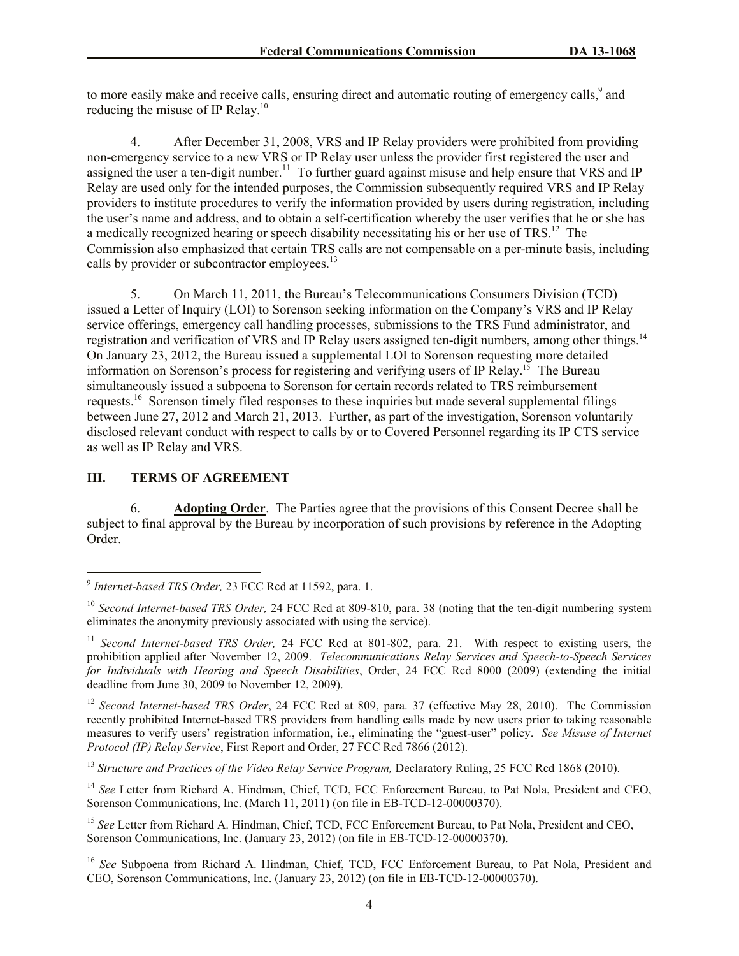to more easily make and receive calls, ensuring direct and automatic routing of emergency calls,<sup>9</sup> and reducing the misuse of IP Relay.<sup>10</sup>

4. After December 31, 2008, VRS and IP Relay providers were prohibited from providing non-emergency service to a new VRS or IP Relay user unless the provider first registered the user and assigned the user a ten-digit number.<sup>11</sup> To further guard against misuse and help ensure that VRS and IP Relay are used only for the intended purposes, the Commission subsequently required VRS and IP Relay providers to institute procedures to verify the information provided by users during registration, including the user's name and address, and to obtain a self-certification whereby the user verifies that he or she has a medically recognized hearing or speech disability necessitating his or her use of TRS.<sup>12</sup> The Commission also emphasized that certain TRS calls are not compensable on a per-minute basis, including calls by provider or subcontractor employees.<sup>13</sup>

5. On March 11, 2011, the Bureau's Telecommunications Consumers Division (TCD) issued a Letter of Inquiry (LOI) to Sorenson seeking information on the Company's VRS and IP Relay service offerings, emergency call handling processes, submissions to the TRS Fund administrator, and registration and verification of VRS and IP Relay users assigned ten-digit numbers, among other things.<sup>14</sup> On January 23, 2012, the Bureau issued a supplemental LOI to Sorenson requesting more detailed information on Sorenson's process for registering and verifying users of IP Relay.<sup>15</sup> The Bureau simultaneously issued a subpoena to Sorenson for certain records related to TRS reimbursement requests.<sup>16</sup> Sorenson timely filed responses to these inquiries but made several supplemental filings between June 27, 2012 and March 21, 2013. Further, as part of the investigation, Sorenson voluntarily disclosed relevant conduct with respect to calls by or to Covered Personnel regarding its IP CTS service as well as IP Relay and VRS.

# **III. TERMS OF AGREEMENT**

6. **Adopting Order**. The Parties agree that the provisions of this Consent Decree shall be subject to final approval by the Bureau by incorporation of such provisions by reference in the Adopting Order.

 9 *Internet-based TRS Order,* 23 FCC Rcd at 11592, para. 1.

<sup>&</sup>lt;sup>10</sup> *Second Internet-based TRS Order,* 24 FCC Rcd at 809-810, para. 38 (noting that the ten-digit numbering system eliminates the anonymity previously associated with using the service).

<sup>&</sup>lt;sup>11</sup> *Second Internet-based TRS Order*, 24 FCC Rcd at 801-802, para. 21. With respect to existing users, the prohibition applied after November 12, 2009. *Telecommunications Relay Services and Speech-to-Speech Services for Individuals with Hearing and Speech Disabilities*, Order, 24 FCC Rcd 8000 (2009) (extending the initial deadline from June 30, 2009 to November 12, 2009).

<sup>&</sup>lt;sup>12</sup> *Second Internet-based TRS Order*, 24 FCC Rcd at 809, para. 37 (effective May 28, 2010). The Commission recently prohibited Internet-based TRS providers from handling calls made by new users prior to taking reasonable measures to verify users' registration information, i.e., eliminating the "guest-user" policy. *See Misuse of Internet Protocol (IP) Relay Service*, First Report and Order, 27 FCC Rcd 7866 (2012).

<sup>&</sup>lt;sup>13</sup> Structure and Practices of the Video Relay Service Program, Declaratory Ruling, 25 FCC Rcd 1868 (2010).

<sup>&</sup>lt;sup>14</sup> See Letter from Richard A. Hindman, Chief, TCD, FCC Enforcement Bureau, to Pat Nola, President and CEO, Sorenson Communications, Inc. (March 11, 2011) (on file in EB-TCD-12-00000370).

<sup>&</sup>lt;sup>15</sup> See Letter from Richard A. Hindman, Chief, TCD, FCC Enforcement Bureau, to Pat Nola, President and CEO, Sorenson Communications, Inc. (January 23, 2012) (on file in EB-TCD-12-00000370).

<sup>16</sup> *See* Subpoena from Richard A. Hindman, Chief, TCD, FCC Enforcement Bureau, to Pat Nola, President and CEO, Sorenson Communications, Inc. (January 23, 2012) (on file in EB-TCD-12-00000370).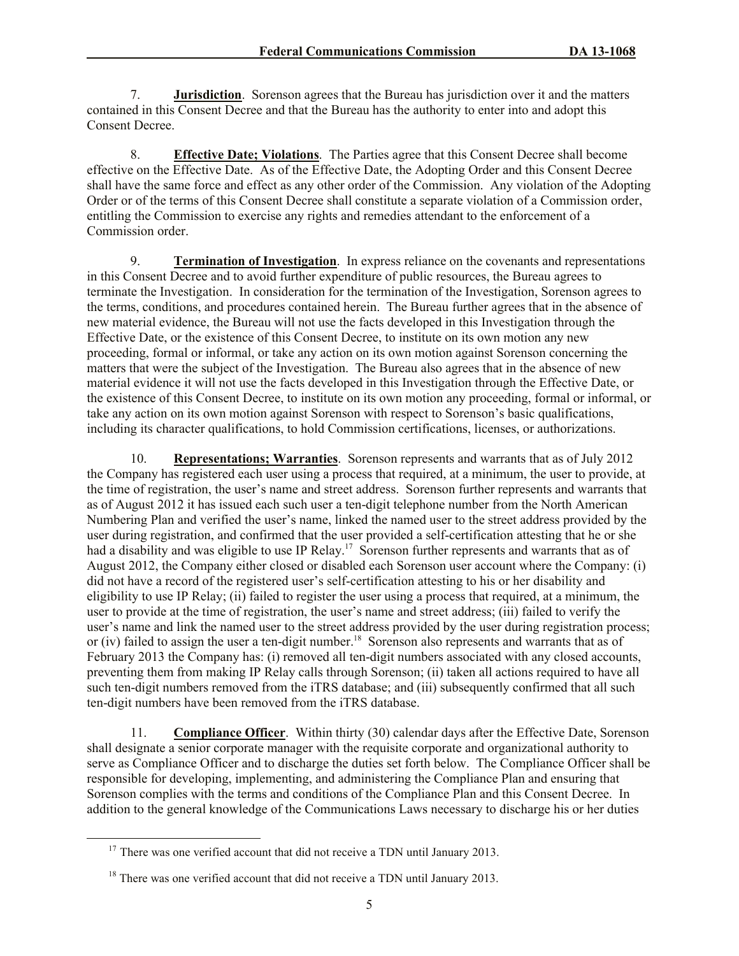7. **Jurisdiction**. Sorenson agrees that the Bureau has jurisdiction over it and the matters contained in this Consent Decree and that the Bureau has the authority to enter into and adopt this Consent Decree.

8. **Effective Date; Violations**. The Parties agree that this Consent Decree shall become effective on the Effective Date. As of the Effective Date, the Adopting Order and this Consent Decree shall have the same force and effect as any other order of the Commission. Any violation of the Adopting Order or of the terms of this Consent Decree shall constitute a separate violation of a Commission order, entitling the Commission to exercise any rights and remedies attendant to the enforcement of a Commission order.

9. **Termination of Investigation**. In express reliance on the covenants and representations in this Consent Decree and to avoid further expenditure of public resources, the Bureau agrees to terminate the Investigation. In consideration for the termination of the Investigation, Sorenson agrees to the terms, conditions, and procedures contained herein. The Bureau further agrees that in the absence of new material evidence, the Bureau will not use the facts developed in this Investigation through the Effective Date, or the existence of this Consent Decree, to institute on its own motion any new proceeding, formal or informal, or take any action on its own motion against Sorenson concerning the matters that were the subject of the Investigation. The Bureau also agrees that in the absence of new material evidence it will not use the facts developed in this Investigation through the Effective Date, or the existence of this Consent Decree, to institute on its own motion any proceeding, formal or informal, or take any action on its own motion against Sorenson with respect to Sorenson's basic qualifications, including its character qualifications, to hold Commission certifications, licenses, or authorizations.

10. **Representations; Warranties**. Sorenson represents and warrants that as of July 2012 the Company has registered each user using a process that required, at a minimum, the user to provide, at the time of registration, the user's name and street address. Sorenson further represents and warrants that as of August 2012 it has issued each such user a ten-digit telephone number from the North American Numbering Plan and verified the user's name, linked the named user to the street address provided by the user during registration, and confirmed that the user provided a self-certification attesting that he or she had a disability and was eligible to use IP Relay.<sup>17</sup> Sorenson further represents and warrants that as of August 2012, the Company either closed or disabled each Sorenson user account where the Company: (i) did not have a record of the registered user's self-certification attesting to his or her disability and eligibility to use IP Relay; (ii) failed to register the user using a process that required, at a minimum, the user to provide at the time of registration, the user's name and street address; (iii) failed to verify the user's name and link the named user to the street address provided by the user during registration process; or (iv) failed to assign the user a ten-digit number.<sup>18</sup> Sorenson also represents and warrants that as of February 2013 the Company has: (i) removed all ten-digit numbers associated with any closed accounts, preventing them from making IP Relay calls through Sorenson; (ii) taken all actions required to have all such ten-digit numbers removed from the iTRS database; and (iii) subsequently confirmed that all such ten-digit numbers have been removed from the iTRS database.

11. **Compliance Officer**.Within thirty (30) calendar days after the Effective Date, Sorenson shall designate a senior corporate manager with the requisite corporate and organizational authority to serve as Compliance Officer and to discharge the duties set forth below. The Compliance Officer shall be responsible for developing, implementing, and administering the Compliance Plan and ensuring that Sorenson complies with the terms and conditions of the Compliance Plan and this Consent Decree. In addition to the general knowledge of the Communications Laws necessary to discharge his or her duties

 $17$  There was one verified account that did not receive a TDN until January 2013.

<sup>&</sup>lt;sup>18</sup> There was one verified account that did not receive a TDN until January 2013.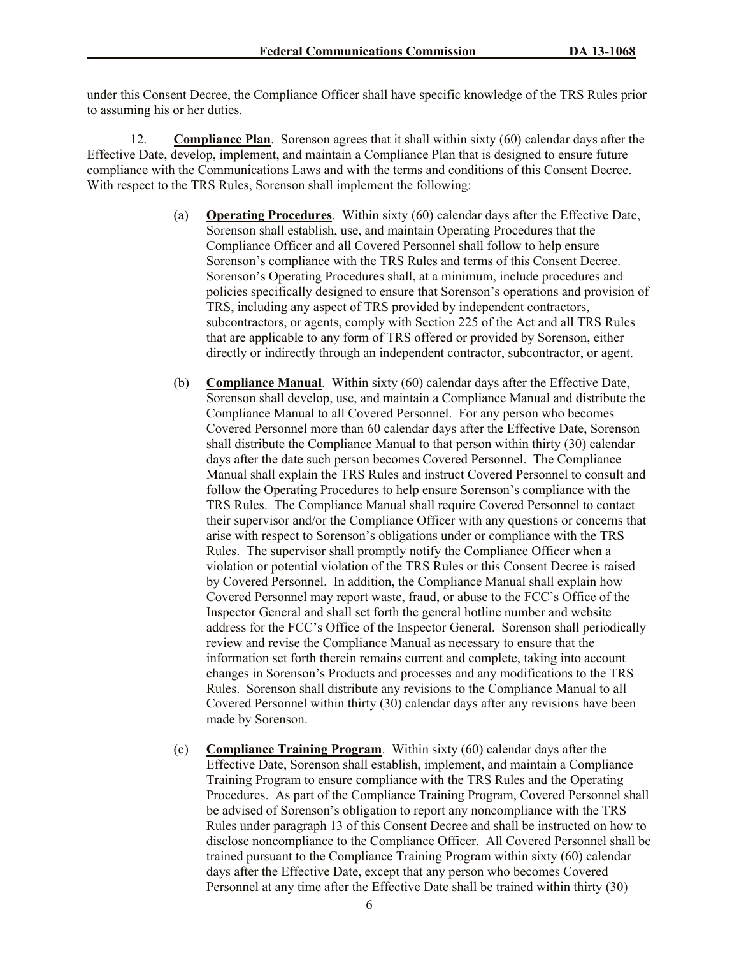under this Consent Decree, the Compliance Officer shall have specific knowledge of the TRS Rules prior to assuming his or her duties.

12. **Compliance Plan**. Sorenson agrees that it shall within sixty (60) calendar days after the Effective Date, develop, implement, and maintain a Compliance Plan that is designed to ensure future compliance with the Communications Laws and with the terms and conditions of this Consent Decree. With respect to the TRS Rules, Sorenson shall implement the following:

- (a) **Operating Procedures**. Within sixty (60) calendar days after the Effective Date, Sorenson shall establish, use, and maintain Operating Procedures that the Compliance Officer and all Covered Personnel shall follow to help ensure Sorenson's compliance with the TRS Rules and terms of this Consent Decree. Sorenson's Operating Procedures shall, at a minimum, include procedures and policies specifically designed to ensure that Sorenson's operations and provision of TRS, including any aspect of TRS provided by independent contractors, subcontractors, or agents, comply with Section 225 of the Act and all TRS Rules that are applicable to any form of TRS offered or provided by Sorenson, either directly or indirectly through an independent contractor, subcontractor, or agent.
- (b) **Compliance Manual**.Within sixty (60) calendar days after the Effective Date, Sorenson shall develop, use, and maintain a Compliance Manual and distribute the Compliance Manual to all Covered Personnel. For any person who becomes Covered Personnel more than 60 calendar days after the Effective Date, Sorenson shall distribute the Compliance Manual to that person within thirty (30) calendar days after the date such person becomes Covered Personnel. The Compliance Manual shall explain the TRS Rules and instruct Covered Personnel to consult and follow the Operating Procedures to help ensure Sorenson's compliance with the TRS Rules. The Compliance Manual shall require Covered Personnel to contact their supervisor and/or the Compliance Officer with any questions or concerns that arise with respect to Sorenson's obligations under or compliance with the TRS Rules. The supervisor shall promptly notify the Compliance Officer when a violation or potential violation of the TRS Rules or this Consent Decree is raised by Covered Personnel. In addition, the Compliance Manual shall explain how Covered Personnel may report waste, fraud, or abuse to the FCC's Office of the Inspector General and shall set forth the general hotline number and website address for the FCC's Office of the Inspector General. Sorenson shall periodically review and revise the Compliance Manual as necessary to ensure that the information set forth therein remains current and complete, taking into account changes in Sorenson's Products and processes and any modifications to the TRS Rules. Sorenson shall distribute any revisions to the Compliance Manual to all Covered Personnel within thirty (30) calendar days after any revisions have been made by Sorenson.
- (c) **Compliance Training Program**. Within sixty (60) calendar days after the Effective Date, Sorenson shall establish, implement, and maintain a Compliance Training Program to ensure compliance with the TRS Rules and the Operating Procedures. As part of the Compliance Training Program, Covered Personnel shall be advised of Sorenson's obligation to report any noncompliance with the TRS Rules under paragraph 13 of this Consent Decree and shall be instructed on how to disclose noncompliance to the Compliance Officer. All Covered Personnel shall be trained pursuant to the Compliance Training Program within sixty (60) calendar days after the Effective Date, except that any person who becomes Covered Personnel at any time after the Effective Date shall be trained within thirty (30)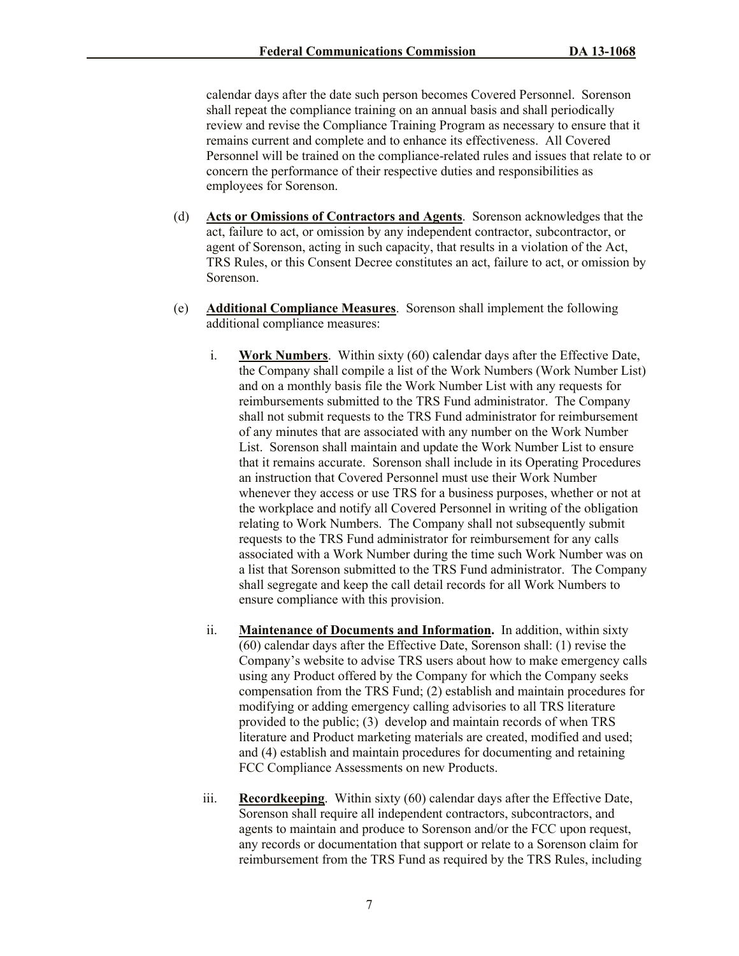calendar days after the date such person becomes Covered Personnel. Sorenson shall repeat the compliance training on an annual basis and shall periodically review and revise the Compliance Training Program as necessary to ensure that it remains current and complete and to enhance its effectiveness. All Covered Personnel will be trained on the compliance-related rules and issues that relate to or concern the performance of their respective duties and responsibilities as employees for Sorenson.

- (d) **Acts or Omissions of Contractors and Agents**. Sorenson acknowledges that the act, failure to act, or omission by any independent contractor, subcontractor, or agent of Sorenson, acting in such capacity, that results in a violation of the Act, TRS Rules, or this Consent Decree constitutes an act, failure to act, or omission by Sorenson.
- (e) **Additional Compliance Measures**. Sorenson shall implement the following additional compliance measures:
	- i. **Work Numbers**. Within sixty (60) calendar days after the Effective Date, the Company shall compile a list of the Work Numbers (Work Number List) and on a monthly basis file the Work Number List with any requests for reimbursements submitted to the TRS Fund administrator. The Company shall not submit requests to the TRS Fund administrator for reimbursement of any minutes that are associated with any number on the Work Number List. Sorenson shall maintain and update the Work Number List to ensure that it remains accurate. Sorenson shall include in its Operating Procedures an instruction that Covered Personnel must use their Work Number whenever they access or use TRS for a business purposes, whether or not at the workplace and notify all Covered Personnel in writing of the obligation relating to Work Numbers. The Company shall not subsequently submit requests to the TRS Fund administrator for reimbursement for any calls associated with a Work Number during the time such Work Number was on a list that Sorenson submitted to the TRS Fund administrator. The Company shall segregate and keep the call detail records for all Work Numbers to ensure compliance with this provision.
	- ii. **Maintenance of Documents and Information.** In addition, within sixty (60) calendar days after the Effective Date, Sorenson shall: (1) revise the Company's website to advise TRS users about how to make emergency calls using any Product offered by the Company for which the Company seeks compensation from the TRS Fund; (2) establish and maintain procedures for modifying or adding emergency calling advisories to all TRS literature provided to the public; (3) develop and maintain records of when TRS literature and Product marketing materials are created, modified and used; and (4) establish and maintain procedures for documenting and retaining FCC Compliance Assessments on new Products.
	- iii. **Recordkeeping**. Within sixty (60) calendar days after the Effective Date, Sorenson shall require all independent contractors, subcontractors, and agents to maintain and produce to Sorenson and/or the FCC upon request, any records or documentation that support or relate to a Sorenson claim for reimbursement from the TRS Fund as required by the TRS Rules, including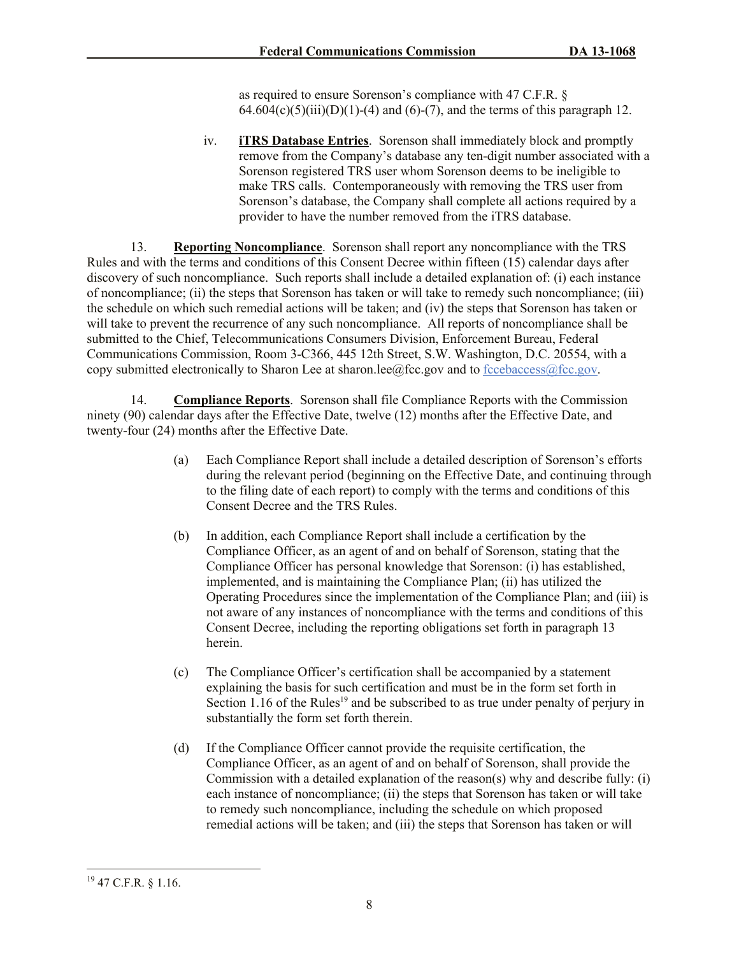as required to ensure Sorenson's compliance with 47 C.F.R. §  $64.604(c)(5)(iii)(D)(1)-(4)$  and  $(6)-(7)$ , and the terms of this paragraph 12.

iv. **iTRS Database Entries**. Sorenson shall immediately block and promptly remove from the Company's database any ten-digit number associated with a Sorenson registered TRS user whom Sorenson deems to be ineligible to make TRS calls. Contemporaneously with removing the TRS user from Sorenson's database, the Company shall complete all actions required by a provider to have the number removed from the iTRS database.

13. **Reporting Noncompliance**. Sorenson shall report any noncompliance with the TRS Rules and with the terms and conditions of this Consent Decree within fifteen (15) calendar days after discovery of such noncompliance. Such reports shall include a detailed explanation of: (i) each instance of noncompliance; (ii) the steps that Sorenson has taken or will take to remedy such noncompliance; (iii) the schedule on which such remedial actions will be taken; and (iv) the steps that Sorenson has taken or will take to prevent the recurrence of any such noncompliance. All reports of noncompliance shall be submitted to the Chief, Telecommunications Consumers Division, Enforcement Bureau, Federal Communications Commission, Room 3-C366, 445 12th Street, S.W. Washington, D.C. 20554, with a copy submitted electronically to Sharon Lee at sharon.lee@fcc.gov and to fccebaccess@fcc.gov.

14. **Compliance Reports**. Sorenson shall file Compliance Reports with the Commission ninety (90) calendar days after the Effective Date, twelve (12) months after the Effective Date, and twenty-four (24) months after the Effective Date.

- (a) Each Compliance Report shall include a detailed description of Sorenson's efforts during the relevant period (beginning on the Effective Date, and continuing through to the filing date of each report) to comply with the terms and conditions of this Consent Decree and the TRS Rules.
- (b) In addition, each Compliance Report shall include a certification by the Compliance Officer, as an agent of and on behalf of Sorenson, stating that the Compliance Officer has personal knowledge that Sorenson: (i) has established, implemented, and is maintaining the Compliance Plan; (ii) has utilized the Operating Procedures since the implementation of the Compliance Plan; and (iii) is not aware of any instances of noncompliance with the terms and conditions of this Consent Decree, including the reporting obligations set forth in paragraph 13 herein.
- (c) The Compliance Officer's certification shall be accompanied by a statement explaining the basis for such certification and must be in the form set forth in Section 1.16 of the Rules<sup>19</sup> and be subscribed to as true under penalty of perjury in substantially the form set forth therein.
- (d) If the Compliance Officer cannot provide the requisite certification, the Compliance Officer, as an agent of and on behalf of Sorenson, shall provide the Commission with a detailed explanation of the reason(s) why and describe fully: (i) each instance of noncompliance; (ii) the steps that Sorenson has taken or will take to remedy such noncompliance, including the schedule on which proposed remedial actions will be taken; and (iii) the steps that Sorenson has taken or will

<sup>19</sup> 47 C.F.R. § 1.16.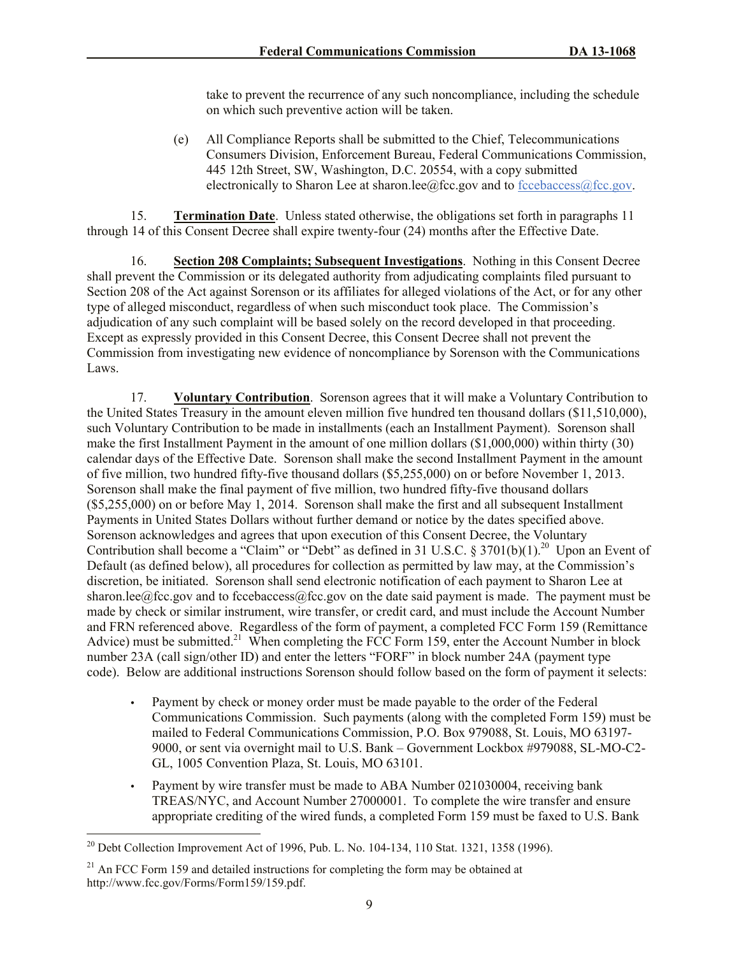take to prevent the recurrence of any such noncompliance, including the schedule on which such preventive action will be taken.

(e) All Compliance Reports shall be submitted to the Chief, Telecommunications Consumers Division, Enforcement Bureau, Federal Communications Commission, 445 12th Street, SW, Washington, D.C. 20554, with a copy submitted electronically to Sharon Lee at sharon.lee@fcc.gov and to  $fccebaccess@fcc.gov$ .

15. **Termination Date**. Unless stated otherwise, the obligations set forth in paragraphs 11 through 14 of this Consent Decree shall expire twenty-four (24) months after the Effective Date.

16. **Section 208 Complaints; Subsequent Investigations**. Nothing in this Consent Decree shall prevent the Commission or its delegated authority from adjudicating complaints filed pursuant to Section 208 of the Act against Sorenson or its affiliates for alleged violations of the Act, or for any other type of alleged misconduct, regardless of when such misconduct took place. The Commission's adjudication of any such complaint will be based solely on the record developed in that proceeding. Except as expressly provided in this Consent Decree, this Consent Decree shall not prevent the Commission from investigating new evidence of noncompliance by Sorenson with the Communications Laws.

17. **Voluntary Contribution**.Sorenson agrees that it will make a Voluntary Contribution to the United States Treasury in the amount eleven million five hundred ten thousand dollars (\$11,510,000), such Voluntary Contribution to be made in installments (each an Installment Payment). Sorenson shall make the first Installment Payment in the amount of one million dollars (\$1,000,000) within thirty (30) calendar days of the Effective Date. Sorenson shall make the second Installment Payment in the amount of five million, two hundred fifty-five thousand dollars (\$5,255,000) on or before November 1, 2013. Sorenson shall make the final payment of five million, two hundred fifty-five thousand dollars (\$5,255,000) on or before May 1, 2014. Sorenson shall make the first and all subsequent Installment Payments in United States Dollars without further demand or notice by the dates specified above. Sorenson acknowledges and agrees that upon execution of this Consent Decree, the Voluntary Contribution shall become a "Claim" or "Debt" as defined in 31 U.S.C. § 3701(b)(1).<sup>20</sup> Upon an Event of Default (as defined below), all procedures for collection as permitted by law may, at the Commission's discretion, be initiated. Sorenson shall send electronic notification of each payment to Sharon Lee at sharon.lee@fcc.gov and to fccebaccess@fcc.gov on the date said payment is made. The payment must be made by check or similar instrument, wire transfer, or credit card, and must include the Account Number and FRN referenced above. Regardless of the form of payment, a completed FCC Form 159 (Remittance Advice) must be submitted.<sup>21</sup> When completing the FCC Form 159, enter the Account Number in block number 23A (call sign/other ID) and enter the letters "FORF" in block number 24A (payment type code). Below are additional instructions Sorenson should follow based on the form of payment it selects:

- Payment by check or money order must be made payable to the order of the Federal Communications Commission. Such payments (along with the completed Form 159) must be mailed to Federal Communications Commission, P.O. Box 979088, St. Louis, MO 63197- 9000, or sent via overnight mail to U.S. Bank – Government Lockbox #979088, SL-MO-C2- GL, 1005 Convention Plaza, St. Louis, MO 63101.
- Payment by wire transfer must be made to ABA Number 021030004, receiving bank TREAS/NYC, and Account Number 27000001. To complete the wire transfer and ensure appropriate crediting of the wired funds, a completed Form 159 must be faxed to U.S. Bank

<sup>&</sup>lt;sup>20</sup> Debt Collection Improvement Act of 1996, Pub. L. No. 104-134, 110 Stat. 1321, 1358 (1996).

 $21$  An FCC Form 159 and detailed instructions for completing the form may be obtained at http://www.fcc.gov/Forms/Form159/159.pdf.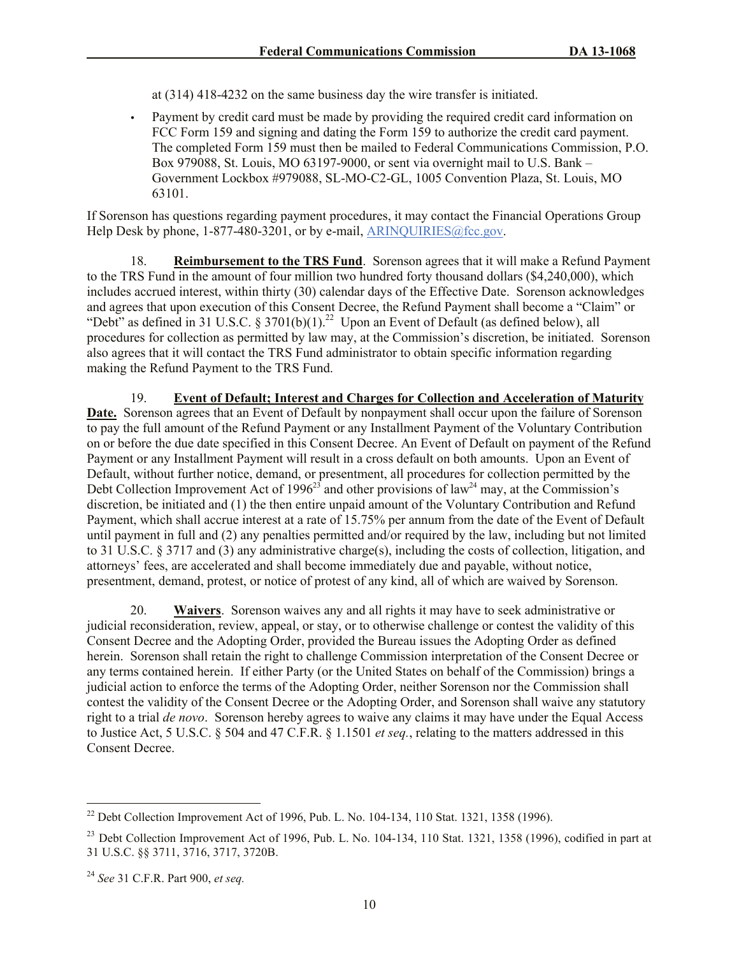at (314) 418-4232 on the same business day the wire transfer is initiated.

 Payment by credit card must be made by providing the required credit card information on FCC Form 159 and signing and dating the Form 159 to authorize the credit card payment. The completed Form 159 must then be mailed to Federal Communications Commission, P.O. Box 979088, St. Louis, MO 63197-9000, or sent via overnight mail to U.S. Bank – Government Lockbox #979088, SL-MO-C2-GL, 1005 Convention Plaza, St. Louis, MO 63101.

If Sorenson has questions regarding payment procedures, it may contact the Financial Operations Group Help Desk by phone, 1-877-480-3201, or by e-mail, ARINQUIRIES@fcc.gov.

18. **Reimbursement to the TRS Fund**. Sorenson agrees that it will make a Refund Payment to the TRS Fund in the amount of four million two hundred forty thousand dollars (\$4,240,000), which includes accrued interest, within thirty (30) calendar days of the Effective Date. Sorenson acknowledges and agrees that upon execution of this Consent Decree, the Refund Payment shall become a "Claim" or "Debt" as defined in 31 U.S.C. § 3701(b)(1).<sup>22</sup> Upon an Event of Default (as defined below), all procedures for collection as permitted by law may, at the Commission's discretion, be initiated. Sorenson also agrees that it will contact the TRS Fund administrator to obtain specific information regarding making the Refund Payment to the TRS Fund.

19. **Event of Default; Interest and Charges for Collection and Acceleration of Maturity**  Date. Sorenson agrees that an Event of Default by nonpayment shall occur upon the failure of Sorenson to pay the full amount of the Refund Payment or any Installment Payment of the Voluntary Contribution on or before the due date specified in this Consent Decree. An Event of Default on payment of the Refund Payment or any Installment Payment will result in a cross default on both amounts. Upon an Event of Default, without further notice, demand, or presentment, all procedures for collection permitted by the Debt Collection Improvement Act of 1996<sup>23</sup> and other provisions of law<sup>24</sup> may, at the Commission's discretion, be initiated and (1) the then entire unpaid amount of the Voluntary Contribution and Refund Payment, which shall accrue interest at a rate of 15.75% per annum from the date of the Event of Default until payment in full and (2) any penalties permitted and/or required by the law, including but not limited to 31 U.S.C. § 3717 and (3) any administrative charge(s), including the costs of collection, litigation, and attorneys' fees, are accelerated and shall become immediately due and payable, without notice, presentment, demand, protest, or notice of protest of any kind, all of which are waived by Sorenson.

20. **Waivers**. Sorenson waives any and all rights it may have to seek administrative or judicial reconsideration, review, appeal, or stay, or to otherwise challenge or contest the validity of this Consent Decree and the Adopting Order, provided the Bureau issues the Adopting Order as defined herein. Sorenson shall retain the right to challenge Commission interpretation of the Consent Decree or any terms contained herein. If either Party (or the United States on behalf of the Commission) brings a judicial action to enforce the terms of the Adopting Order, neither Sorenson nor the Commission shall contest the validity of the Consent Decree or the Adopting Order, and Sorenson shall waive any statutory right to a trial *de novo*. Sorenson hereby agrees to waive any claims it may have under the Equal Access to Justice Act, 5 U.S.C. § 504 and 47 C.F.R. § 1.1501 *et seq.*, relating to the matters addressed in this Consent Decree.

<sup>&</sup>lt;sup>22</sup> Debt Collection Improvement Act of 1996, Pub. L. No. 104-134, 110 Stat. 1321, 1358 (1996).

 $^{23}$  Debt Collection Improvement Act of 1996, Pub. L. No. 104-134, 110 Stat. 1321, 1358 (1996), codified in part at 31 U.S.C. §§ 3711, 3716, 3717, 3720B.

<sup>24</sup> *See* 31 C.F.R. Part 900, *et seq.*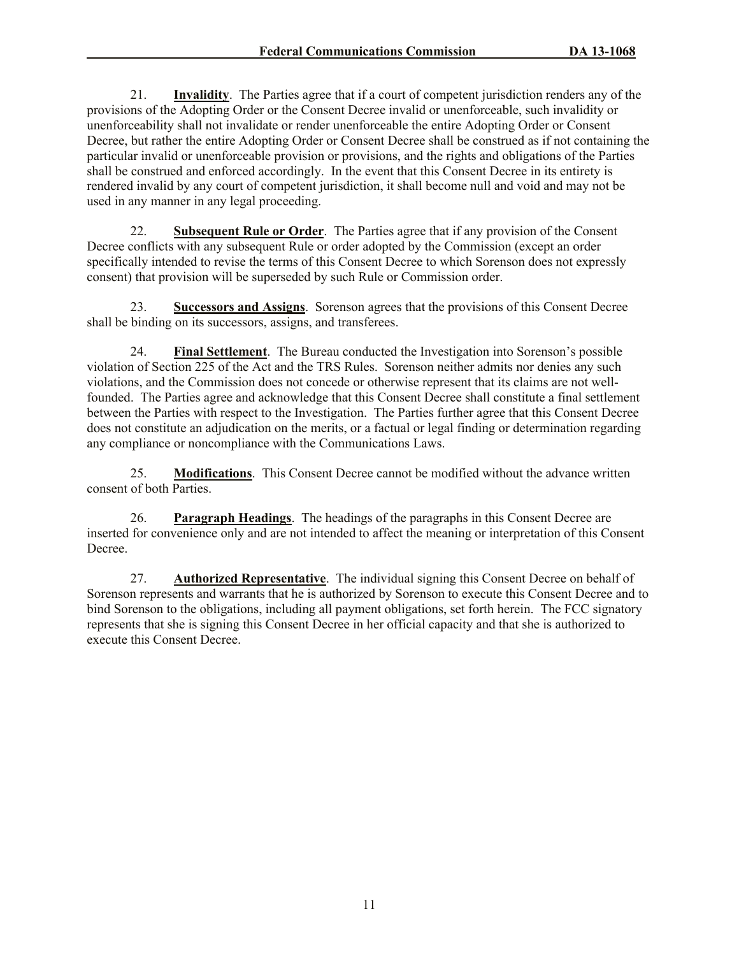21. **Invalidity**. The Parties agree that if a court of competent jurisdiction renders any of the provisions of the Adopting Order or the Consent Decree invalid or unenforceable, such invalidity or unenforceability shall not invalidate or render unenforceable the entire Adopting Order or Consent Decree, but rather the entire Adopting Order or Consent Decree shall be construed as if not containing the particular invalid or unenforceable provision or provisions, and the rights and obligations of the Parties shall be construed and enforced accordingly. In the event that this Consent Decree in its entirety is rendered invalid by any court of competent jurisdiction, it shall become null and void and may not be used in any manner in any legal proceeding.

22. **Subsequent Rule or Order**. The Parties agree that if any provision of the Consent Decree conflicts with any subsequent Rule or order adopted by the Commission (except an order specifically intended to revise the terms of this Consent Decree to which Sorenson does not expressly consent) that provision will be superseded by such Rule or Commission order.

23. **Successors and Assigns**. Sorenson agrees that the provisions of this Consent Decree shall be binding on its successors, assigns, and transferees.

24. **Final Settlement**. The Bureau conducted the Investigation into Sorenson's possible violation of Section 225 of the Act and the TRS Rules. Sorenson neither admits nor denies any such violations, and the Commission does not concede or otherwise represent that its claims are not wellfounded. The Parties agree and acknowledge that this Consent Decree shall constitute a final settlement between the Parties with respect to the Investigation. The Parties further agree that this Consent Decree does not constitute an adjudication on the merits, or a factual or legal finding or determination regarding any compliance or noncompliance with the Communications Laws.

25. **Modifications**. This Consent Decree cannot be modified without the advance written consent of both Parties.

26. **Paragraph Headings**. The headings of the paragraphs in this Consent Decree are inserted for convenience only and are not intended to affect the meaning or interpretation of this Consent Decree.

27. **Authorized Representative**. The individual signing this Consent Decree on behalf of Sorenson represents and warrants that he is authorized by Sorenson to execute this Consent Decree and to bind Sorenson to the obligations, including all payment obligations, set forth herein. The FCC signatory represents that she is signing this Consent Decree in her official capacity and that she is authorized to execute this Consent Decree.